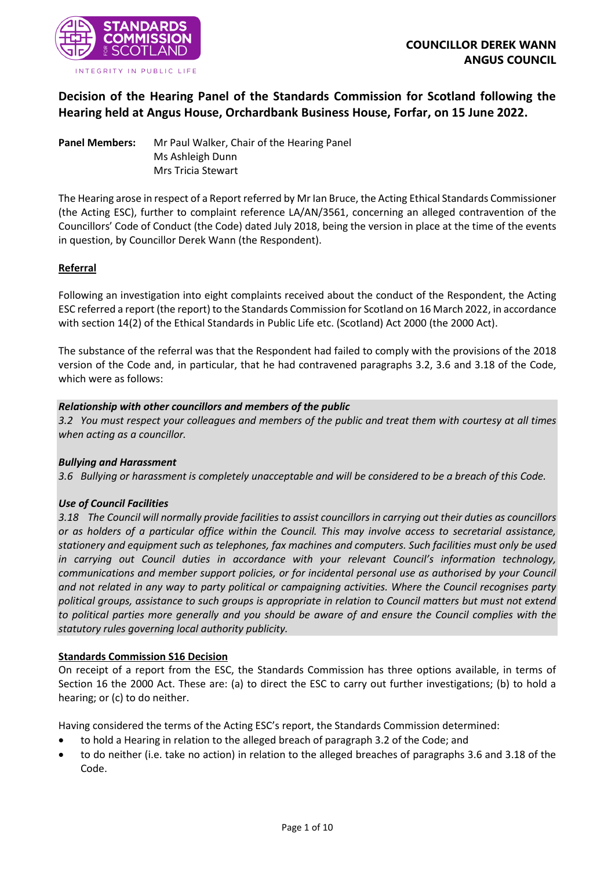

# **Decision of the Hearing Panel of the Standards Commission for Scotland following the Hearing held at Angus House, Orchardbank Business House, Forfar, on 15 June 2022.**

**Panel Members:** Mr Paul Walker, Chair of the Hearing Panel Ms Ashleigh Dunn Mrs Tricia Stewart

The Hearing arose in respect of a Report referred by Mr Ian Bruce, the Acting Ethical Standards Commissioner (the Acting ESC), further to complaint reference LA/AN/3561, concerning an alleged contravention of the Councillors' Code of Conduct (the Code) dated July 2018, being the version in place at the time of the events in question, by Councillor Derek Wann (the Respondent).

### **Referral**

Following an investigation into eight complaints received about the conduct of the Respondent, the Acting ESC referred a report (the report) to the Standards Commission for Scotland on 16 March 2022, in accordance with section 14(2) of the Ethical Standards in Public Life etc. (Scotland) Act 2000 (the 2000 Act).

The substance of the referral was that the Respondent had failed to comply with the provisions of the 2018 version of the Code and, in particular, that he had contravened paragraphs 3.2, 3.6 and 3.18 of the Code, which were as follows:

### *Relationship with other councillors and members of the public*

*3.2 You must respect your colleagues and members of the public and treat them with courtesy at all times when acting as a councillor.*

### *Bullying and Harassment*

*3.6 Bullying or harassment is completely unacceptable and will be considered to be a breach of this Code.*

# *Use of Council Facilities*

*3.18 The Council will normally provide facilities to assist councillors in carrying out their duties as councillors or as holders of a particular office within the Council. This may involve access to secretarial assistance, stationery and equipment such as telephones, fax machines and computers. Such facilities must only be used in carrying out Council duties in accordance with your relevant Council's information technology, communications and member support policies, or for incidental personal use as authorised by your Council and not related in any way to party political or campaigning activities. Where the Council recognises party political groups, assistance to such groups is appropriate in relation to Council matters but must not extend to political parties more generally and you should be aware of and ensure the Council complies with the statutory rules governing local authority publicity.*

# **Standards Commission S16 Decision**

On receipt of a report from the ESC, the Standards Commission has three options available, in terms of Section 16 the 2000 Act. These are: (a) to direct the ESC to carry out further investigations; (b) to hold a hearing; or (c) to do neither.

Having considered the terms of the Acting ESC's report, the Standards Commission determined:

- to hold a Hearing in relation to the alleged breach of paragraph 3.2 of the Code; and
- to do neither (i.e. take no action) in relation to the alleged breaches of paragraphs 3.6 and 3.18 of the Code.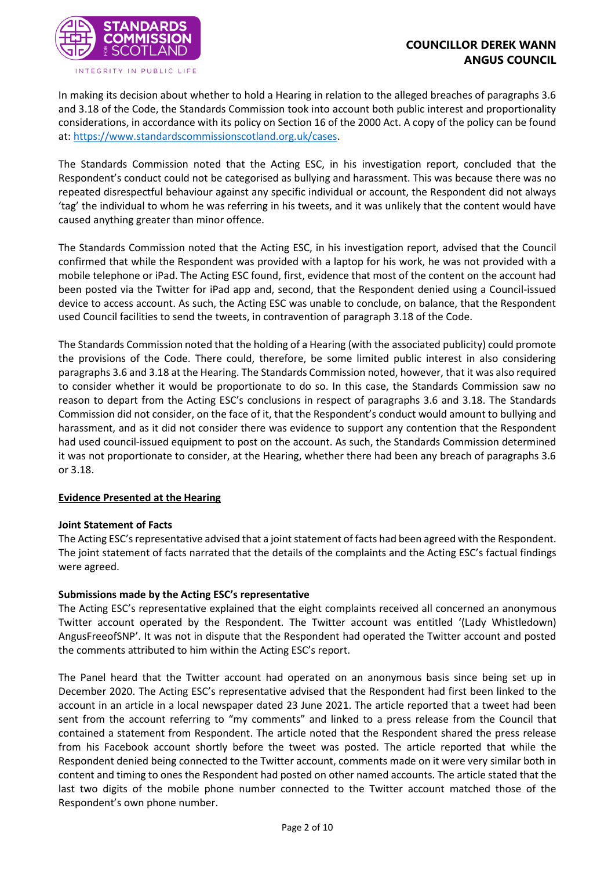

In making its decision about whether to hold a Hearing in relation to the alleged breaches of paragraphs 3.6 and 3.18 of the Code, the Standards Commission took into account both public interest and proportionality considerations, in accordance with its policy on Section 16 of the 2000 Act. A copy of the policy can be found at: [https://www.standardscommissionscotland.org.uk/cases.](https://www.standardscommissionscotland.org.uk/cases)

The Standards Commission noted that the Acting ESC, in his investigation report, concluded that the Respondent's conduct could not be categorised as bullying and harassment. This was because there was no repeated disrespectful behaviour against any specific individual or account, the Respondent did not always 'tag' the individual to whom he was referring in his tweets, and it was unlikely that the content would have caused anything greater than minor offence.

The Standards Commission noted that the Acting ESC, in his investigation report, advised that the Council confirmed that while the Respondent was provided with a laptop for his work, he was not provided with a mobile telephone or iPad. The Acting ESC found, first, evidence that most of the content on the account had been posted via the Twitter for iPad app and, second, that the Respondent denied using a Council-issued device to access account. As such, the Acting ESC was unable to conclude, on balance, that the Respondent used Council facilities to send the tweets, in contravention of paragraph 3.18 of the Code.

The Standards Commission noted that the holding of a Hearing (with the associated publicity) could promote the provisions of the Code. There could, therefore, be some limited public interest in also considering paragraphs 3.6 and 3.18 at the Hearing. The Standards Commission noted, however, that it was also required to consider whether it would be proportionate to do so. In this case, the Standards Commission saw no reason to depart from the Acting ESC's conclusions in respect of paragraphs 3.6 and 3.18. The Standards Commission did not consider, on the face of it, that the Respondent's conduct would amount to bullying and harassment, and as it did not consider there was evidence to support any contention that the Respondent had used council-issued equipment to post on the account. As such, the Standards Commission determined it was not proportionate to consider, at the Hearing, whether there had been any breach of paragraphs 3.6 or 3.18.

### **Evidence Presented at the Hearing**

### **Joint Statement of Facts**

The Acting ESC's representative advised that a joint statement of facts had been agreed with the Respondent. The joint statement of facts narrated that the details of the complaints and the Acting ESC's factual findings were agreed.

### **Submissions made by the Acting ESC's representative**

The Acting ESC's representative explained that the eight complaints received all concerned an anonymous Twitter account operated by the Respondent. The Twitter account was entitled '(Lady Whistledown) AngusFreeofSNP'. It was not in dispute that the Respondent had operated the Twitter account and posted the comments attributed to him within the Acting ESC's report.

The Panel heard that the Twitter account had operated on an anonymous basis since being set up in December 2020. The Acting ESC's representative advised that the Respondent had first been linked to the account in an article in a local newspaper dated 23 June 2021. The article reported that a tweet had been sent from the account referring to "my comments" and linked to a press release from the Council that contained a statement from Respondent. The article noted that the Respondent shared the press release from his Facebook account shortly before the tweet was posted. The article reported that while the Respondent denied being connected to the Twitter account, comments made on it were very similar both in content and timing to ones the Respondent had posted on other named accounts. The article stated that the last two digits of the mobile phone number connected to the Twitter account matched those of the Respondent's own phone number.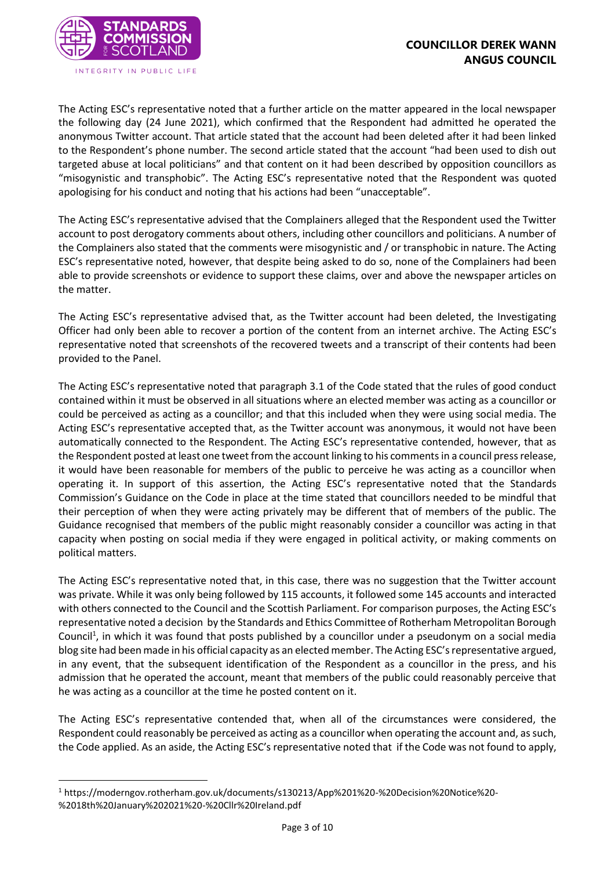

The Acting ESC's representative noted that a further article on the matter appeared in the local newspaper the following day (24 June 2021), which confirmed that the Respondent had admitted he operated the anonymous Twitter account. That article stated that the account had been deleted after it had been linked to the Respondent's phone number. The second article stated that the account "had been used to dish out targeted abuse at local politicians" and that content on it had been described by opposition councillors as "misogynistic and transphobic". The Acting ESC's representative noted that the Respondent was quoted apologising for his conduct and noting that his actions had been "unacceptable".

The Acting ESC's representative advised that the Complainers alleged that the Respondent used the Twitter account to post derogatory comments about others, including other councillors and politicians. A number of the Complainers also stated that the comments were misogynistic and / or transphobic in nature. The Acting ESC's representative noted, however, that despite being asked to do so, none of the Complainers had been able to provide screenshots or evidence to support these claims, over and above the newspaper articles on the matter.

The Acting ESC's representative advised that, as the Twitter account had been deleted, the Investigating Officer had only been able to recover a portion of the content from an internet archive. The Acting ESC's representative noted that screenshots of the recovered tweets and a transcript of their contents had been provided to the Panel.

The Acting ESC's representative noted that paragraph 3.1 of the Code stated that the rules of good conduct contained within it must be observed in all situations where an elected member was acting as a councillor or could be perceived as acting as a councillor; and that this included when they were using social media. The Acting ESC's representative accepted that, as the Twitter account was anonymous, it would not have been automatically connected to the Respondent. The Acting ESC's representative contended, however, that as the Respondent posted at least one tweet from the account linking to his comments in a council press release, it would have been reasonable for members of the public to perceive he was acting as a councillor when operating it. In support of this assertion, the Acting ESC's representative noted that the Standards Commission's Guidance on the Code in place at the time stated that councillors needed to be mindful that their perception of when they were acting privately may be different that of members of the public. The Guidance recognised that members of the public might reasonably consider a councillor was acting in that capacity when posting on social media if they were engaged in political activity, or making comments on political matters.

The Acting ESC's representative noted that, in this case, there was no suggestion that the Twitter account was private. While it was only being followed by 115 accounts, it followed some 145 accounts and interacted with others connected to the Council and the Scottish Parliament. For comparison purposes, the Acting ESC's representative noted a decision by the Standards and Ethics Committee of Rotherham Metropolitan Borough Council<sup>1</sup>, in which it was found that posts published by a councillor under a pseudonym on a social media blog site had been made in his official capacity as an elected member. The Acting ESC's representative argued, in any event, that the subsequent identification of the Respondent as a councillor in the press, and his admission that he operated the account, meant that members of the public could reasonably perceive that he was acting as a councillor at the time he posted content on it.

The Acting ESC's representative contended that, when all of the circumstances were considered, the Respondent could reasonably be perceived as acting as a councillor when operating the account and, as such, the Code applied. As an aside, the Acting ESC's representative noted that if the Code was not found to apply,

<sup>1</sup> https://moderngov.rotherham.gov.uk/documents/s130213/App%201%20-%20Decision%20Notice%20- %2018th%20January%202021%20-%20Cllr%20Ireland.pdf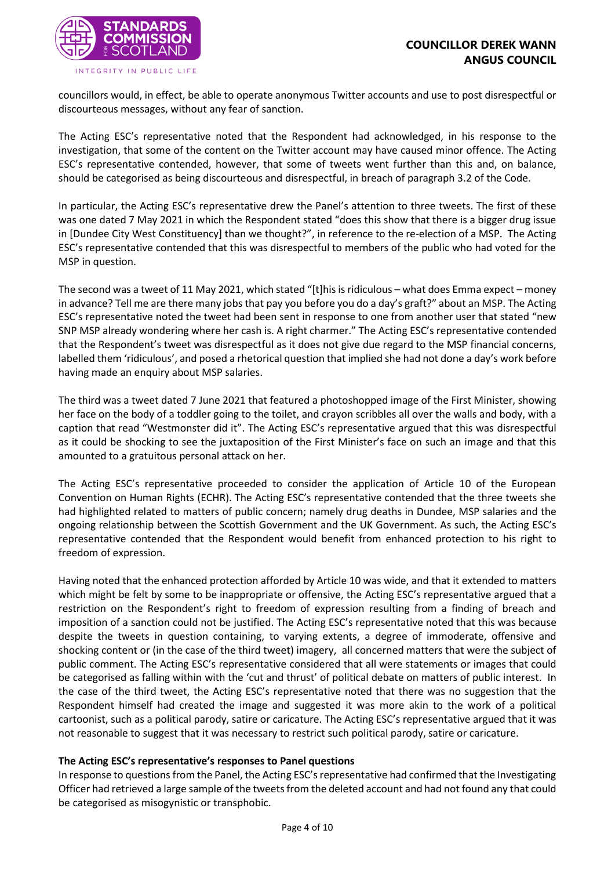

councillors would, in effect, be able to operate anonymous Twitter accounts and use to post disrespectful or discourteous messages, without any fear of sanction.

The Acting ESC's representative noted that the Respondent had acknowledged, in his response to the investigation, that some of the content on the Twitter account may have caused minor offence. The Acting ESC's representative contended, however, that some of tweets went further than this and, on balance, should be categorised as being discourteous and disrespectful, in breach of paragraph 3.2 of the Code.

In particular, the Acting ESC's representative drew the Panel's attention to three tweets. The first of these was one dated 7 May 2021 in which the Respondent stated "does this show that there is a bigger drug issue in [Dundee City West Constituency] than we thought?", in reference to the re-election of a MSP. The Acting ESC's representative contended that this was disrespectful to members of the public who had voted for the MSP in question.

The second was a tweet of 11 May 2021, which stated "[t]his is ridiculous – what does Emma expect – money in advance? Tell me are there many jobs that pay you before you do a day's graft?" about an MSP. The Acting ESC's representative noted the tweet had been sent in response to one from another user that stated "new SNP MSP already wondering where her cash is. A right charmer." The Acting ESC's representative contended that the Respondent's tweet was disrespectful as it does not give due regard to the MSP financial concerns, labelled them 'ridiculous', and posed a rhetorical question that implied she had not done a day's work before having made an enquiry about MSP salaries.

The third was a tweet dated 7 June 2021 that featured a photoshopped image of the First Minister, showing her face on the body of a toddler going to the toilet, and crayon scribbles all over the walls and body, with a caption that read "Westmonster did it". The Acting ESC's representative argued that this was disrespectful as it could be shocking to see the juxtaposition of the First Minister's face on such an image and that this amounted to a gratuitous personal attack on her.

The Acting ESC's representative proceeded to consider the application of Article 10 of the European Convention on Human Rights (ECHR). The Acting ESC's representative contended that the three tweets she had highlighted related to matters of public concern; namely drug deaths in Dundee, MSP salaries and the ongoing relationship between the Scottish Government and the UK Government. As such, the Acting ESC's representative contended that the Respondent would benefit from enhanced protection to his right to freedom of expression.

Having noted that the enhanced protection afforded by Article 10 was wide, and that it extended to matters which might be felt by some to be inappropriate or offensive, the Acting ESC's representative argued that a restriction on the Respondent's right to freedom of expression resulting from a finding of breach and imposition of a sanction could not be justified. The Acting ESC's representative noted that this was because despite the tweets in question containing, to varying extents, a degree of immoderate, offensive and shocking content or (in the case of the third tweet) imagery, all concerned matters that were the subject of public comment. The Acting ESC's representative considered that all were statements or images that could be categorised as falling within with the 'cut and thrust' of political debate on matters of public interest. In the case of the third tweet, the Acting ESC's representative noted that there was no suggestion that the Respondent himself had created the image and suggested it was more akin to the work of a political cartoonist, such as a political parody, satire or caricature. The Acting ESC's representative argued that it was not reasonable to suggest that it was necessary to restrict such political parody, satire or caricature.

# **The Acting ESC's representative's responses to Panel questions**

In response to questions from the Panel, the Acting ESC's representative had confirmed that the Investigating Officer had retrieved a large sample of the tweets from the deleted account and had not found any that could be categorised as misogynistic or transphobic.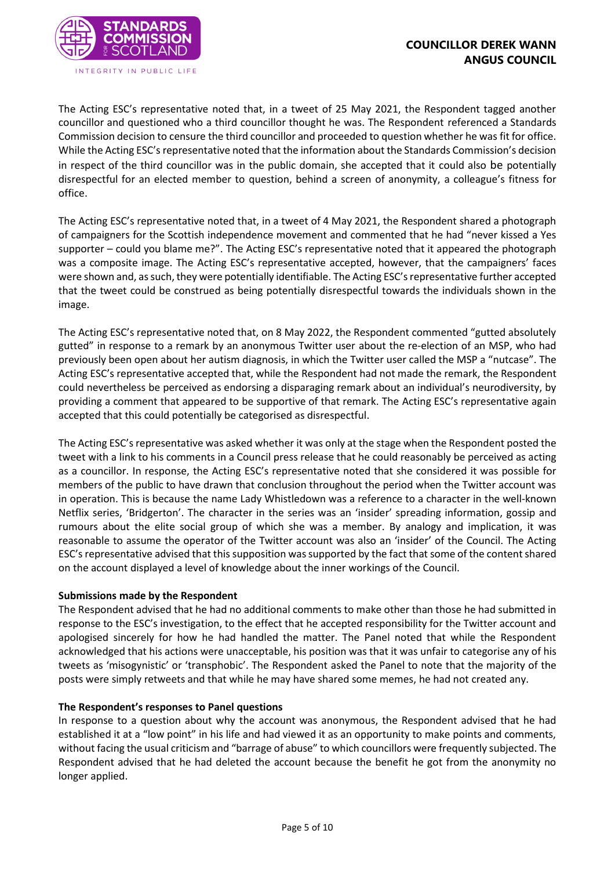

The Acting ESC's representative noted that, in a tweet of 25 May 2021, the Respondent tagged another councillor and questioned who a third councillor thought he was. The Respondent referenced a Standards Commission decision to censure the third councillor and proceeded to question whether he was fit for office. While the Acting ESC's representative noted that the information about the Standards Commission's decision in respect of the third councillor was in the public domain, she accepted that it could also be potentially disrespectful for an elected member to question, behind a screen of anonymity, a colleague's fitness for office.

The Acting ESC's representative noted that, in a tweet of 4 May 2021, the Respondent shared a photograph of campaigners for the Scottish independence movement and commented that he had "never kissed a Yes supporter – could you blame me?". The Acting ESC's representative noted that it appeared the photograph was a composite image. The Acting ESC's representative accepted, however, that the campaigners' faces were shown and, as such, they were potentially identifiable. The Acting ESC's representative further accepted that the tweet could be construed as being potentially disrespectful towards the individuals shown in the image.

The Acting ESC's representative noted that, on 8 May 2022, the Respondent commented "gutted absolutely gutted" in response to a remark by an anonymous Twitter user about the re-election of an MSP, who had previously been open about her autism diagnosis, in which the Twitter user called the MSP a "nutcase". The Acting ESC's representative accepted that, while the Respondent had not made the remark, the Respondent could nevertheless be perceived as endorsing a disparaging remark about an individual's neurodiversity, by providing a comment that appeared to be supportive of that remark. The Acting ESC's representative again accepted that this could potentially be categorised as disrespectful.

The Acting ESC's representative was asked whether it was only at the stage when the Respondent posted the tweet with a link to his comments in a Council press release that he could reasonably be perceived as acting as a councillor. In response, the Acting ESC's representative noted that she considered it was possible for members of the public to have drawn that conclusion throughout the period when the Twitter account was in operation. This is because the name Lady Whistledown was a reference to a character in the well-known Netflix series, 'Bridgerton'. The character in the series was an 'insider' spreading information, gossip and rumours about the elite social group of which she was a member. By analogy and implication, it was reasonable to assume the operator of the Twitter account was also an 'insider' of the Council. The Acting ESC's representative advised that this supposition was supported by the fact that some of the content shared on the account displayed a level of knowledge about the inner workings of the Council.

### **Submissions made by the Respondent**

The Respondent advised that he had no additional comments to make other than those he had submitted in response to the ESC's investigation, to the effect that he accepted responsibility for the Twitter account and apologised sincerely for how he had handled the matter. The Panel noted that while the Respondent acknowledged that his actions were unacceptable, his position was that it was unfair to categorise any of his tweets as 'misogynistic' or 'transphobic'. The Respondent asked the Panel to note that the majority of the posts were simply retweets and that while he may have shared some memes, he had not created any.

### **The Respondent's responses to Panel questions**

In response to a question about why the account was anonymous, the Respondent advised that he had established it at a "low point" in his life and had viewed it as an opportunity to make points and comments, without facing the usual criticism and "barrage of abuse" to which councillors were frequently subjected. The Respondent advised that he had deleted the account because the benefit he got from the anonymity no longer applied.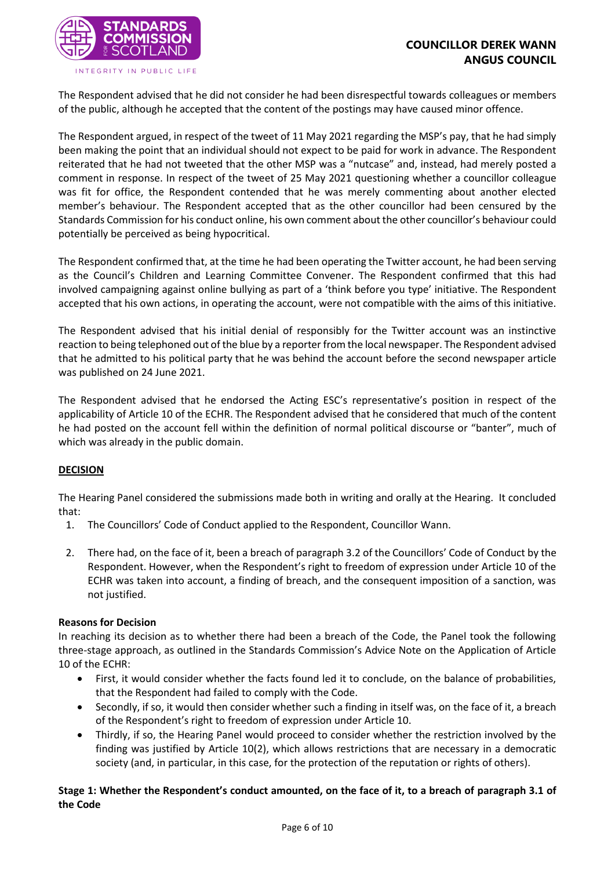

INTEGRITY IN PUBLIC LIFE

The Respondent advised that he did not consider he had been disrespectful towards colleagues or members of the public, although he accepted that the content of the postings may have caused minor offence.

The Respondent argued, in respect of the tweet of 11 May 2021 regarding the MSP's pay, that he had simply been making the point that an individual should not expect to be paid for work in advance. The Respondent reiterated that he had not tweeted that the other MSP was a "nutcase" and, instead, had merely posted a comment in response. In respect of the tweet of 25 May 2021 questioning whether a councillor colleague was fit for office, the Respondent contended that he was merely commenting about another elected member's behaviour. The Respondent accepted that as the other councillor had been censured by the Standards Commission for his conduct online, his own comment about the other councillor's behaviour could potentially be perceived as being hypocritical.

The Respondent confirmed that, at the time he had been operating the Twitter account, he had been serving as the Council's Children and Learning Committee Convener. The Respondent confirmed that this had involved campaigning against online bullying as part of a 'think before you type' initiative. The Respondent accepted that his own actions, in operating the account, were not compatible with the aims of this initiative.

The Respondent advised that his initial denial of responsibly for the Twitter account was an instinctive reaction to being telephoned out of the blue by a reporter from the local newspaper. The Respondent advised that he admitted to his political party that he was behind the account before the second newspaper article was published on 24 June 2021.

The Respondent advised that he endorsed the Acting ESC's representative's position in respect of the applicability of Article 10 of the ECHR. The Respondent advised that he considered that much of the content he had posted on the account fell within the definition of normal political discourse or "banter", much of which was already in the public domain.

# **DECISION**

The Hearing Panel considered the submissions made both in writing and orally at the Hearing. It concluded that:

- 1. The Councillors' Code of Conduct applied to the Respondent, Councillor Wann.
- 2. There had, on the face of it, been a breach of paragraph 3.2 of the Councillors' Code of Conduct by the Respondent. However, when the Respondent's right to freedom of expression under Article 10 of the ECHR was taken into account, a finding of breach, and the consequent imposition of a sanction, was not justified.

### **Reasons for Decision**

In reaching its decision as to whether there had been a breach of the Code, the Panel took the following three-stage approach, as outlined in the Standards Commission's Advice Note on the Application of Article 10 of the ECHR:

- First, it would consider whether the facts found led it to conclude, on the balance of probabilities, that the Respondent had failed to comply with the Code.
- Secondly, if so, it would then consider whether such a finding in itself was, on the face of it, a breach of the Respondent's right to freedom of expression under Article 10.
- Thirdly, if so, the Hearing Panel would proceed to consider whether the restriction involved by the finding was justified by Article 10(2), which allows restrictions that are necessary in a democratic society (and, in particular, in this case, for the protection of the reputation or rights of others).

**Stage 1: Whether the Respondent's conduct amounted, on the face of it, to a breach of paragraph 3.1 of the Code**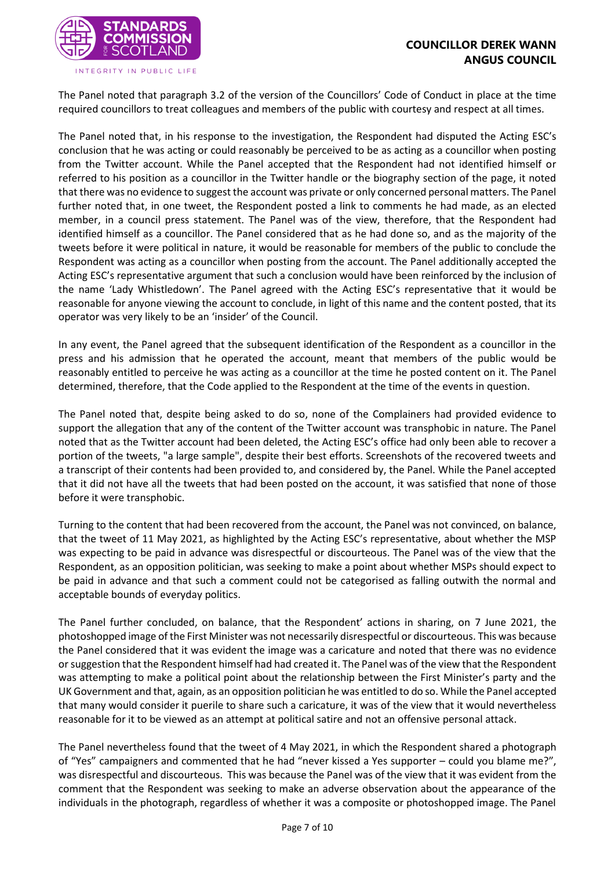

INTEGRITY IN PUBLIC LIFE

The Panel noted that paragraph 3.2 of the version of the Councillors' Code of Conduct in place at the time required councillors to treat colleagues and members of the public with courtesy and respect at all times.

The Panel noted that, in his response to the investigation, the Respondent had disputed the Acting ESC's conclusion that he was acting or could reasonably be perceived to be as acting as a councillor when posting from the Twitter account. While the Panel accepted that the Respondent had not identified himself or referred to his position as a councillor in the Twitter handle or the biography section of the page, it noted that there was no evidence to suggest the account was private or only concerned personal matters. The Panel further noted that, in one tweet, the Respondent posted a link to comments he had made, as an elected member, in a council press statement. The Panel was of the view, therefore, that the Respondent had identified himself as a councillor. The Panel considered that as he had done so, and as the majority of the tweets before it were political in nature, it would be reasonable for members of the public to conclude the Respondent was acting as a councillor when posting from the account. The Panel additionally accepted the Acting ESC's representative argument that such a conclusion would have been reinforced by the inclusion of the name 'Lady Whistledown'. The Panel agreed with the Acting ESC's representative that it would be reasonable for anyone viewing the account to conclude, in light of this name and the content posted, that its operator was very likely to be an 'insider' of the Council.

In any event, the Panel agreed that the subsequent identification of the Respondent as a councillor in the press and his admission that he operated the account, meant that members of the public would be reasonably entitled to perceive he was acting as a councillor at the time he posted content on it. The Panel determined, therefore, that the Code applied to the Respondent at the time of the events in question.

The Panel noted that, despite being asked to do so, none of the Complainers had provided evidence to support the allegation that any of the content of the Twitter account was transphobic in nature. The Panel noted that as the Twitter account had been deleted, the Acting ESC's office had only been able to recover a portion of the tweets, "a large sample", despite their best efforts. Screenshots of the recovered tweets and a transcript of their contents had been provided to, and considered by, the Panel. While the Panel accepted that it did not have all the tweets that had been posted on the account, it was satisfied that none of those before it were transphobic.

Turning to the content that had been recovered from the account, the Panel was not convinced, on balance, that the tweet of 11 May 2021, as highlighted by the Acting ESC's representative, about whether the MSP was expecting to be paid in advance was disrespectful or discourteous. The Panel was of the view that the Respondent, as an opposition politician, was seeking to make a point about whether MSPs should expect to be paid in advance and that such a comment could not be categorised as falling outwith the normal and acceptable bounds of everyday politics.

The Panel further concluded, on balance, that the Respondent' actions in sharing, on 7 June 2021, the photoshopped image of the First Minister was not necessarily disrespectful or discourteous. This was because the Panel considered that it was evident the image was a caricature and noted that there was no evidence or suggestion that the Respondent himself had had created it. The Panel was of the view that the Respondent was attempting to make a political point about the relationship between the First Minister's party and the UK Government and that, again, as an opposition politician he was entitled to do so. While the Panel accepted that many would consider it puerile to share such a caricature, it was of the view that it would nevertheless reasonable for it to be viewed as an attempt at political satire and not an offensive personal attack.

The Panel nevertheless found that the tweet of 4 May 2021, in which the Respondent shared a photograph of "Yes" campaigners and commented that he had "never kissed a Yes supporter – could you blame me?", was disrespectful and discourteous. This was because the Panel was of the view that it was evident from the comment that the Respondent was seeking to make an adverse observation about the appearance of the individuals in the photograph, regardless of whether it was a composite or photoshopped image. The Panel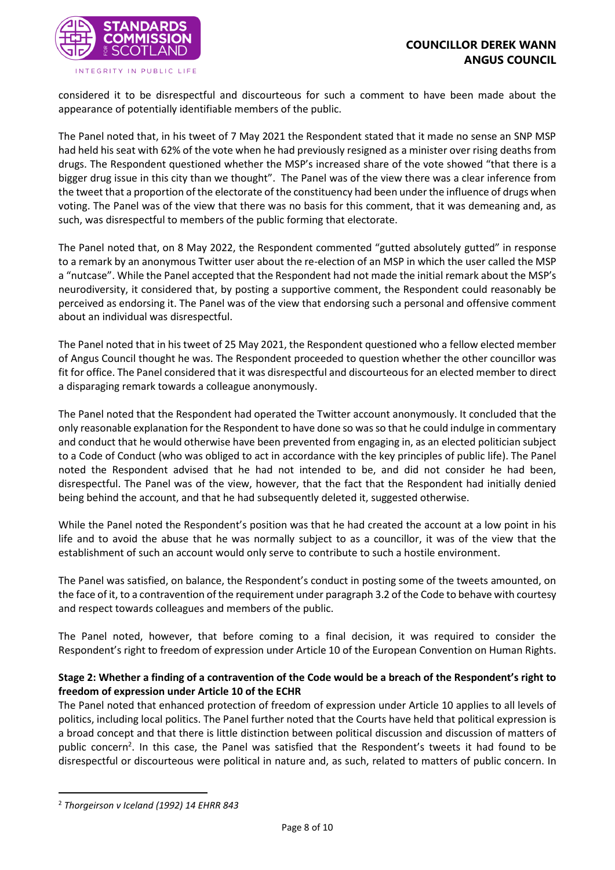

INTEGRITY IN PUBLIC LIFE

considered it to be disrespectful and discourteous for such a comment to have been made about the appearance of potentially identifiable members of the public.

The Panel noted that, in his tweet of 7 May 2021 the Respondent stated that it made no sense an SNP MSP had held his seat with 62% of the vote when he had previously resigned as a minister over rising deaths from drugs. The Respondent questioned whether the MSP's increased share of the vote showed "that there is a bigger drug issue in this city than we thought". The Panel was of the view there was a clear inference from the tweet that a proportion of the electorate of the constituency had been under the influence of drugs when voting. The Panel was of the view that there was no basis for this comment, that it was demeaning and, as such, was disrespectful to members of the public forming that electorate.

The Panel noted that, on 8 May 2022, the Respondent commented "gutted absolutely gutted" in response to a remark by an anonymous Twitter user about the re-election of an MSP in which the user called the MSP a "nutcase". While the Panel accepted that the Respondent had not made the initial remark about the MSP's neurodiversity, it considered that, by posting a supportive comment, the Respondent could reasonably be perceived as endorsing it. The Panel was of the view that endorsing such a personal and offensive comment about an individual was disrespectful.

The Panel noted that in histweet of 25 May 2021, the Respondent questioned who a fellow elected member of Angus Council thought he was. The Respondent proceeded to question whether the other councillor was fit for office. The Panel considered that it was disrespectful and discourteous for an elected member to direct a disparaging remark towards a colleague anonymously.

The Panel noted that the Respondent had operated the Twitter account anonymously. It concluded that the only reasonable explanation for the Respondent to have done so was so that he could indulge in commentary and conduct that he would otherwise have been prevented from engaging in, as an elected politician subject to a Code of Conduct (who was obliged to act in accordance with the key principles of public life). The Panel noted the Respondent advised that he had not intended to be, and did not consider he had been, disrespectful. The Panel was of the view, however, that the fact that the Respondent had initially denied being behind the account, and that he had subsequently deleted it, suggested otherwise.

While the Panel noted the Respondent's position was that he had created the account at a low point in his life and to avoid the abuse that he was normally subject to as a councillor, it was of the view that the establishment of such an account would only serve to contribute to such a hostile environment.

The Panel was satisfied, on balance, the Respondent's conduct in posting some of the tweets amounted, on the face of it, to a contravention of the requirement under paragraph 3.2 of the Code to behave with courtesy and respect towards colleagues and members of the public.

The Panel noted, however, that before coming to a final decision, it was required to consider the Respondent's right to freedom of expression under Article 10 of the European Convention on Human Rights.

### **Stage 2: Whether a finding of a contravention of the Code would be a breach of the Respondent's right to freedom of expression under Article 10 of the ECHR**

The Panel noted that enhanced protection of freedom of expression under Article 10 applies to all levels of politics, including local politics. The Panel further noted that the Courts have held that political expression is a broad concept and that there is little distinction between political discussion and discussion of matters of public concern<sup>2</sup>. In this case, the Panel was satisfied that the Respondent's tweets it had found to be disrespectful or discourteous were political in nature and, as such, related to matters of public concern. In

<sup>2</sup> *Thorgeirson v Iceland (1992) 14 EHRR 843*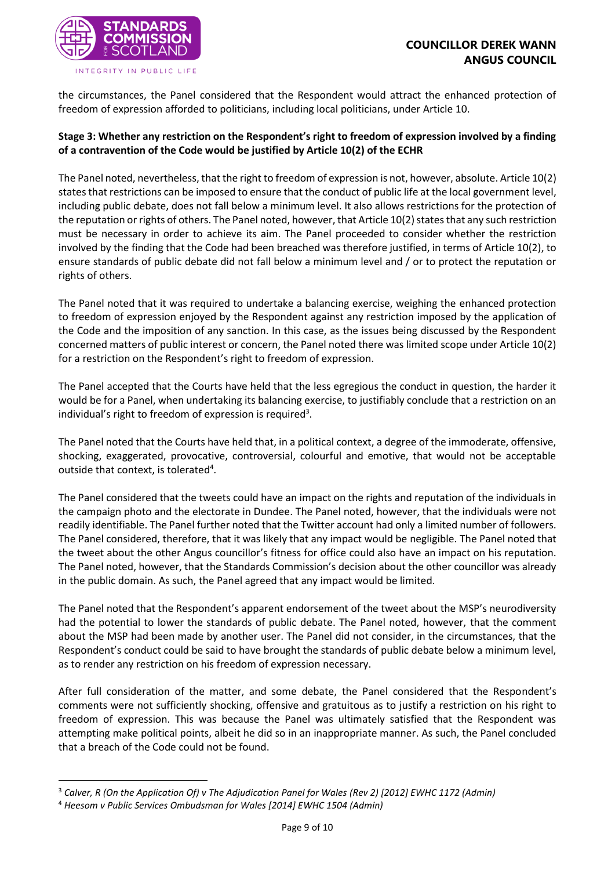

the circumstances, the Panel considered that the Respondent would attract the enhanced protection of freedom of expression afforded to politicians, including local politicians, under Article 10.

# **Stage 3: Whether any restriction on the Respondent's right to freedom of expression involved by a finding of a contravention of the Code would be justified by Article 10(2) of the ECHR**

The Panel noted, nevertheless, that the right to freedom of expression is not, however, absolute. Article 10(2) states that restrictions can be imposed to ensure that the conduct of public life at the local government level, including public debate, does not fall below a minimum level. It also allows restrictions for the protection of the reputation or rights of others. The Panel noted, however, that Article 10(2) states that any such restriction must be necessary in order to achieve its aim. The Panel proceeded to consider whether the restriction involved by the finding that the Code had been breached was therefore justified, in terms of Article 10(2), to ensure standards of public debate did not fall below a minimum level and / or to protect the reputation or rights of others.

The Panel noted that it was required to undertake a balancing exercise, weighing the enhanced protection to freedom of expression enjoyed by the Respondent against any restriction imposed by the application of the Code and the imposition of any sanction. In this case, as the issues being discussed by the Respondent concerned matters of public interest or concern, the Panel noted there was limited scope under Article 10(2) for a restriction on the Respondent's right to freedom of expression.

The Panel accepted that the Courts have held that the less egregious the conduct in question, the harder it would be for a Panel, when undertaking its balancing exercise, to justifiably conclude that a restriction on an individual's right to freedom of expression is required<sup>3</sup>.

The Panel noted that the Courts have held that, in a political context, a degree of the immoderate, offensive, shocking, exaggerated, provocative, controversial, colourful and emotive, that would not be acceptable outside that context, is tolerated<sup>4</sup>.

The Panel considered that the tweets could have an impact on the rights and reputation of the individuals in the campaign photo and the electorate in Dundee. The Panel noted, however, that the individuals were not readily identifiable. The Panel further noted that the Twitter account had only a limited number of followers. The Panel considered, therefore, that it was likely that any impact would be negligible. The Panel noted that the tweet about the other Angus councillor's fitness for office could also have an impact on his reputation. The Panel noted, however, that the Standards Commission's decision about the other councillor was already in the public domain. As such, the Panel agreed that any impact would be limited.

The Panel noted that the Respondent's apparent endorsement of the tweet about the MSP's neurodiversity had the potential to lower the standards of public debate. The Panel noted, however, that the comment about the MSP had been made by another user. The Panel did not consider, in the circumstances, that the Respondent's conduct could be said to have brought the standards of public debate below a minimum level, as to render any restriction on his freedom of expression necessary.

After full consideration of the matter, and some debate, the Panel considered that the Respondent's comments were not sufficiently shocking, offensive and gratuitous as to justify a restriction on his right to freedom of expression. This was because the Panel was ultimately satisfied that the Respondent was attempting make political points, albeit he did so in an inappropriate manner. As such, the Panel concluded that a breach of the Code could not be found.

<sup>3</sup> *Calver, R (On the Application Of) v The Adjudication Panel for Wales (Rev 2) [2012] EWHC 1172 (Admin)*

<sup>4</sup> *Heesom v Public Services Ombudsman for Wales [2014] EWHC 1504 (Admin)*